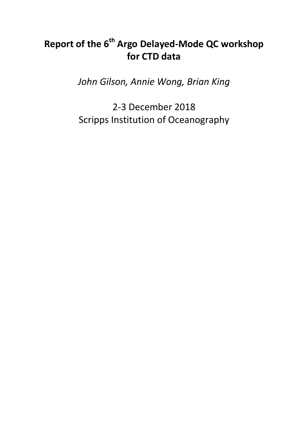# **Report of the 6th Argo Delayed-Mode QC workshop for CTD data**

*John Gilson, Annie Wong, Brian King*

2-3 December 2018 Scripps Institution of Oceanography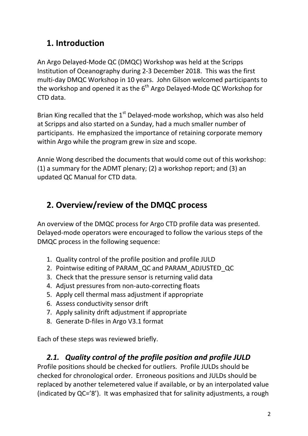# **1. Introduction**

An Argo Delayed-Mode QC (DMQC) Workshop was held at the Scripps Institution of Oceanography during 2-3 December 2018. This was the first multi-day DMQC Workshop in 10 years. John Gilson welcomed participants to the workshop and opened it as the  $6<sup>th</sup>$  Argo Delayed-Mode QC Workshop for CTD data.

Brian King recalled that the  $1<sup>st</sup>$  Delayed-mode workshop, which was also held at Scripps and also started on a Sunday, had a much smaller number of participants. He emphasized the importance of retaining corporate memory within Argo while the program grew in size and scope.

Annie Wong described the documents that would come out of this workshop: (1) a summary for the ADMT plenary; (2) a workshop report; and (3) an updated QC Manual for CTD data.

# **2. Overview/review of the DMQC process**

An overview of the DMQC process for Argo CTD profile data was presented. Delayed-mode operators were encouraged to follow the various steps of the DMQC process in the following sequence:

- 1. Quality control of the profile position and profile JULD
- 2. Pointwise editing of PARAM\_QC and PARAM\_ADJUSTED\_QC
- 3. Check that the pressure sensor is returning valid data
- 4. Adjust pressures from non-auto-correcting floats
- 5. Apply cell thermal mass adjustment if appropriate
- 6. Assess conductivity sensor drift
- 7. Apply salinity drift adjustment if appropriate
- 8. Generate D-files in Argo V3.1 format

Each of these steps was reviewed briefly.

## *2.1. Quality control of the profile position and profile JULD*

Profile positions should be checked for outliers. Profile JULDs should be checked for chronological order. Erroneous positions and JULDs should be replaced by another telemetered value if available, or by an interpolated value (indicated by QC='8'). It was emphasized that for salinity adjustments, a rough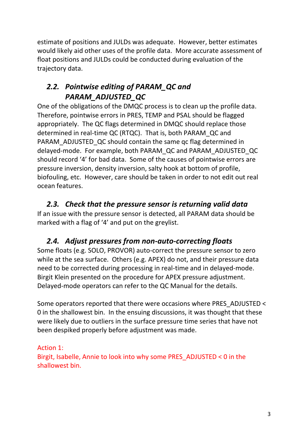estimate of positions and JULDs was adequate. However, better estimates would likely aid other uses of the profile data. More accurate assessment of float positions and JULDs could be conducted during evaluation of the trajectory data.

## *2.2. Pointwise editing of PARAM\_QC and PARAM\_ADJUSTED\_QC*

One of the obligations of the DMQC process is to clean up the profile data. Therefore, pointwise errors in PRES, TEMP and PSAL should be flagged appropriately. The QC flags determined in DMQC should replace those determined in real-time QC (RTQC). That is, both PARAM\_QC and PARAM\_ADJUSTED\_QC should contain the same qc flag determined in delayed-mode. For example, both PARAM\_QC and PARAM\_ADJUSTED\_QC should record '4' for bad data. Some of the causes of pointwise errors are pressure inversion, density inversion, salty hook at bottom of profile, biofouling, etc. However, care should be taken in order to not edit out real ocean features.

### *2.3. Check that the pressure sensor is returning valid data*

If an issue with the pressure sensor is detected, all PARAM data should be marked with a flag of '4' and put on the greylist.

## *2.4. Adjust pressures from non-auto-correcting floats*

Some floats (e.g. SOLO, PROVOR) auto-correct the pressure sensor to zero while at the sea surface. Others (e.g. APEX) do not, and their pressure data need to be corrected during processing in real-time and in delayed-mode. Birgit Klein presented on the procedure for APEX pressure adjustment. Delayed-mode operators can refer to the QC Manual for the details.

Some operators reported that there were occasions where PRES\_ADJUSTED < 0 in the shallowest bin. In the ensuing discussions, it was thought that these were likely due to outliers in the surface pressure time series that have not been despiked properly before adjustment was made.

Action 1: Birgit, Isabelle, Annie to look into why some PRES\_ADJUSTED < 0 in the shallowest bin.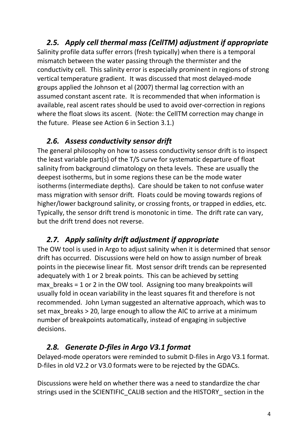## *2.5. Apply cell thermal mass (CellTM) adjustment if appropriate*

Salinity profile data suffer errors (fresh typically) when there is a temporal mismatch between the water passing through the thermister and the conductivity cell. This salinity error is especially prominent in regions of strong vertical temperature gradient. It was discussed that most delayed-mode groups applied the Johnson et al (2007) thermal lag correction with an assumed constant ascent rate. It is recommended that when information is available, real ascent rates should be used to avoid over-correction in regions where the float slows its ascent. (Note: the CellTM correction may change in the future. Please see Action 6 in Section 3.1.)

### *2.6. Assess conductivity sensor drift*

The general philosophy on how to assess conductivity sensor drift is to inspect the least variable part(s) of the T/S curve for systematic departure of float salinity from background climatology on theta levels. These are usually the deepest isotherms, but in some regions these can be the mode water isotherms (intermediate depths). Care should be taken to not confuse water mass migration with sensor drift. Floats could be moving towards regions of higher/lower background salinity, or crossing fronts, or trapped in eddies, etc. Typically, the sensor drift trend is monotonic in time. The drift rate can vary, but the drift trend does not reverse.

## *2.7. Apply salinity drift adjustment if appropriate*

The OW tool is used in Argo to adjust salinity when it is determined that sensor drift has occurred. Discussions were held on how to assign number of break points in the piecewise linear fit. Most sensor drift trends can be represented adequately with 1 or 2 break points. This can be achieved by setting max breaks  $= 1$  or 2 in the OW tool. Assigning too many breakpoints will usually fold in ocean variability in the least squares fit and therefore is not recommended. John Lyman suggested an alternative approach, which was to set max breaks > 20, large enough to allow the AIC to arrive at a minimum number of breakpoints automatically, instead of engaging in subjective decisions.

### *2.8. Generate D-files in Argo V3.1 format*

Delayed-mode operators were reminded to submit D-files in Argo V3.1 format. D-files in old V2.2 or V3.0 formats were to be rejected by the GDACs.

Discussions were held on whether there was a need to standardize the char strings used in the SCIENTIFIC\_CALIB section and the HISTORY\_ section in the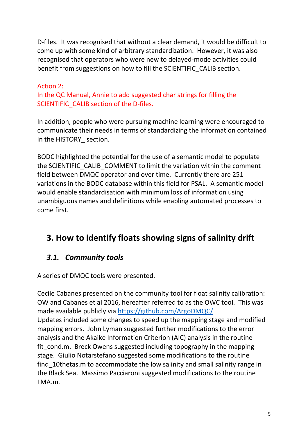D-files. It was recognised that without a clear demand, it would be difficult to come up with some kind of arbitrary standardization. However, it was also recognised that operators who were new to delayed-mode activities could benefit from suggestions on how to fill the SCIENTIFIC\_CALIB section.

#### Action 2:

In the QC Manual, Annie to add suggested char strings for filling the SCIENTIFIC CALIB section of the D-files.

In addition, people who were pursuing machine learning were encouraged to communicate their needs in terms of standardizing the information contained in the HISTORY\_ section.

BODC highlighted the potential for the use of a semantic model to populate the SCIENTIFIC\_CALIB\_COMMENT to limit the variation within the comment field between DMQC operator and over time. Currently there are 251 variations in the BODC database within this field for PSAL. A semantic model would enable standardisation with minimum loss of information using unambiguous names and definitions while enabling automated processes to come first.

## **3. How to identify floats showing signs of salinity drift**

### *3.1. Community tools*

A series of DMQC tools were presented.

Cecile Cabanes presented on the community tool for float salinity calibration: OW and Cabanes et al 2016, hereafter referred to as the OWC tool. This was made available publicly via<https://github.com/ArgoDMQC/> Updates included some changes to speed up the mapping stage and modified mapping errors. John Lyman suggested further modifications to the error analysis and the Akaike Information Criterion (AIC) analysis in the routine fit\_cond.m. Breck Owens suggested including topography in the mapping stage. Giulio Notarstefano suggested some modifications to the routine find 10thetas.m to accommodate the low salinity and small salinity range in the Black Sea. Massimo Pacciaroni suggested modifications to the routine LMA.m.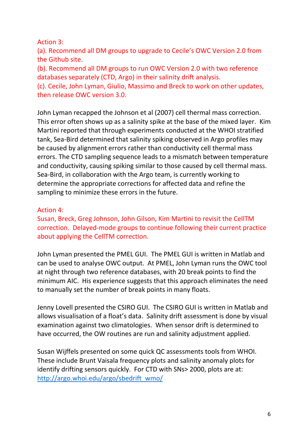#### Action 3:

(a). Recommend all DM groups to upgrade to Cecile's OWC Version 2.0 from the Github site.

(b). Recommend all DM groups to run OWC Version 2.0 with two reference databases separately (CTD, Argo) in their salinity drift analysis.

(c). Cecile, John Lyman, Giulio, Massimo and Breck to work on other updates, then release OWC version 3.0.

John Lyman recapped the Johnson et al (2007) cell thermal mass correction. This error often shows up as a salinity spike at the base of the mixed layer. Kim Martini reported that through experiments conducted at the WHOI stratified tank, Sea-Bird determined that salinity spiking observed in Argo profiles may be caused by alignment errors rather than conductivity cell thermal mass errors. The CTD sampling sequence leads to a mismatch between temperature and conductivity, causing spiking similar to those caused by cell thermal mass. Sea-Bird, in collaboration with the Argo team, is currently working to determine the appropriate corrections for affected data and refine the sampling to minimize these errors in the future.

#### Action 4:

Susan, Breck, Greg Johnson, John Gilson, Kim Martini to revisit the CellTM correction. Delayed-mode groups to continue following their current practice about applying the CellTM correction.

John Lyman presented the PMEL GUI. The PMEL GUI is written in Matlab and can be used to analyse OWC output. At PMEL, John Lyman runs the OWC tool at night through two reference databases, with 20 break points to find the minimum AIC. His experience suggests that this approach eliminates the need to manually set the number of break points in many floats.

Jenny Lovell presented the CSIRO GUI. The CSIRO GUI is written in Matlab and allows visualisation of a float's data. Salinity drift assessment is done by visual examination against two climatologies. When sensor drift is determined to have occurred, the OW routines are run and salinity adjustment applied.

Susan Wijffels presented on some quick QC assessments tools from WHOI. These include Brunt Vaisala frequency plots and salinity anomaly plots for identify drifting sensors quickly. For CTD with SNs> 2000, plots are at: [http://argo.whoi.edu/argo/sbedrift\\_wmo/](http://argo.whoi.edu/argo/sbedrift_wmo/)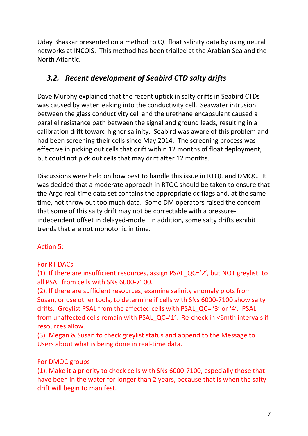Uday Bhaskar presented on a method to QC float salinity data by using neural networks at INCOIS. This method has been trialled at the Arabian Sea and the North Atlantic.

### *3.2. Recent development of Seabird CTD salty drifts*

Dave Murphy explained that the recent uptick in salty drifts in Seabird CTDs was caused by water leaking into the conductivity cell. Seawater intrusion between the glass conductivity cell and the urethane encapsulant caused a parallel resistance path between the signal and ground leads, resulting in a calibration drift toward higher salinity. Seabird was aware of this problem and had been screening their cells since May 2014. The screening process was effective in picking out cells that drift within 12 months of float deployment, but could not pick out cells that may drift after 12 months.

Discussions were held on how best to handle this issue in RTQC and DMQC. It was decided that a moderate approach in RTQC should be taken to ensure that the Argo real-time data set contains the appropriate qc flags and, at the same time, not throw out too much data. Some DM operators raised the concern that some of this salty drift may not be correctable with a pressureindependent offset in delayed-mode. In addition, some salty drifts exhibit trends that are not monotonic in time.

### Action 5:

### For RT DACs

(1). If there are insufficient resources, assign PSAL\_QC='2', but NOT greylist, to all PSAL from cells with SNs 6000-7100.

(2). If there are sufficient resources, examine salinity anomaly plots from Susan, or use other tools, to determine if cells with SNs 6000-7100 show salty drifts. Greylist PSAL from the affected cells with PSAL\_QC= '3' or '4'. PSAL from unaffected cells remain with PSAL\_QC='1'. Re-check in <6mth intervals if resources allow.

(3). Megan & Susan to check greylist status and append to the Message to Users about what is being done in real-time data.

### For DMQC groups

(1). Make it a priority to check cells with SNs 6000-7100, especially those that have been in the water for longer than 2 years, because that is when the salty drift will begin to manifest.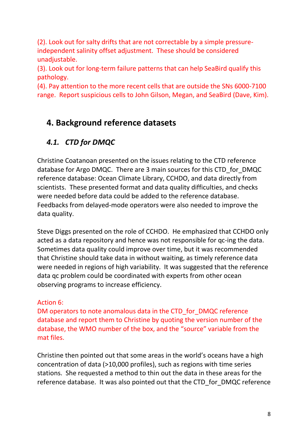(2). Look out for salty drifts that are not correctable by a simple pressureindependent salinity offset adjustment. These should be considered unadjustable.

(3). Look out for long-term failure patterns that can help SeaBird qualify this pathology.

(4). Pay attention to the more recent cells that are outside the SNs 6000-7100 range. Report suspicious cells to John Gilson, Megan, and SeaBird (Dave, Kim).

# **4. Background reference datasets**

## *4.1. CTD for DMQC*

Christine Coatanoan presented on the issues relating to the CTD reference database for Argo DMQC. There are 3 main sources for this CTD\_for\_DMQC reference database: Ocean Climate Library, CCHDO, and data directly from scientists. These presented format and data quality difficulties, and checks were needed before data could be added to the reference database. Feedbacks from delayed-mode operators were also needed to improve the data quality.

Steve Diggs presented on the role of CCHDO. He emphasized that CCHDO only acted as a data repository and hence was not responsible for qc-ing the data. Sometimes data quality could improve over time, but it was recommended that Christine should take data in without waiting, as timely reference data were needed in regions of high variability. It was suggested that the reference data qc problem could be coordinated with experts from other ocean observing programs to increase efficiency.

### Action 6:

DM operators to note anomalous data in the CTD for DMQC reference database and report them to Christine by quoting the version number of the database, the WMO number of the box, and the "source" variable from the mat files.

Christine then pointed out that some areas in the world's oceans have a high concentration of data (>10,000 profiles), such as regions with time series stations. She requested a method to thin out the data in these areas for the reference database. It was also pointed out that the CTD\_for\_DMQC reference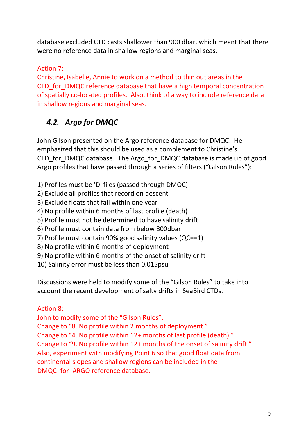database excluded CTD casts shallower than 900 dbar, which meant that there were no reference data in shallow regions and marginal seas.

#### Action 7:

Christine, Isabelle, Annie to work on a method to thin out areas in the CTD for DMQC reference database that have a high temporal concentration of spatially co-located profiles. Also, think of a way to include reference data in shallow regions and marginal seas.

## *4.2. Argo for DMQC*

John Gilson presented on the Argo reference database for DMQC. He emphasized that this should be used as a complement to Christine's CTD for DMQC database. The Argo for DMQC database is made up of good Argo profiles that have passed through a series of filters ("Gilson Rules"):

- 1) Profiles must be 'D' files (passed through DMQC)
- 2) Exclude all profiles that record on descent
- 3) Exclude floats that fail within one year
- 4) No profile within 6 months of last profile (death)
- 5) Profile must not be determined to have salinity drift
- 6) Profile must contain data from below 800dbar
- 7) Profile must contain 90% good salinity values (QC==1)
- 8) No profile within 6 months of deployment
- 9) No profile within 6 months of the onset of salinity drift
- 10) Salinity error must be less than 0.015psu

Discussions were held to modify some of the "Gilson Rules" to take into account the recent development of salty drifts in SeaBird CTDs.

### Action 8:

John to modify some of the "Gilson Rules".

Change to "8. No profile within 2 months of deployment." Change to "4. No profile within 12+ months of last profile (death)." Change to "9. No profile within 12+ months of the onset of salinity drift." Also, experiment with modifying Point 6 so that good float data from continental slopes and shallow regions can be included in the DMQC for ARGO reference database.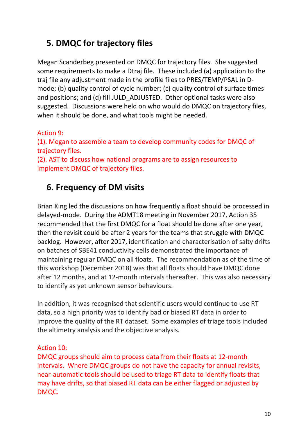# **5. DMQC for trajectory files**

Megan Scanderbeg presented on DMQC for trajectory files. She suggested some requirements to make a Dtraj file. These included (a) application to the traj file any adjustment made in the profile files to PRES/TEMP/PSAL in Dmode; (b) quality control of cycle number; (c) quality control of surface times and positions; and (d) fill JULD\_ADJUSTED. Other optional tasks were also suggested. Discussions were held on who would do DMQC on trajectory files, when it should be done, and what tools might be needed.

#### Action 9:

(1). Megan to assemble a team to develop community codes for DMQC of trajectory files.

(2). AST to discuss how national programs are to assign resources to implement DMQC of trajectory files.

# **6. Frequency of DM visits**

Brian King led the discussions on how frequently a float should be processed in delayed-mode. During the ADMT18 meeting in November 2017, Action 35 recommended that the first DMQC for a float should be done after one year, then the revisit could be after 2 years for the teams that struggle with DMQC backlog. However, after 2017, identification and characterisation of salty drifts on batches of SBE41 conductivity cells demonstrated the importance of maintaining regular DMQC on all floats. The recommendation as of the time of this workshop (December 2018) was that all floats should have DMQC done after 12 months, and at 12-month intervals thereafter. This was also necessary to identify as yet unknown sensor behaviours.

In addition, it was recognised that scientific users would continue to use RT data, so a high priority was to identify bad or biased RT data in order to improve the quality of the RT dataset. Some examples of triage tools included the altimetry analysis and the objective analysis.

#### Action 10:

DMQC groups should aim to process data from their floats at 12-month intervals. Where DMQC groups do not have the capacity for annual revisits, near-automatic tools should be used to triage RT data to identify floats that may have drifts, so that biased RT data can be either flagged or adjusted by DMQC.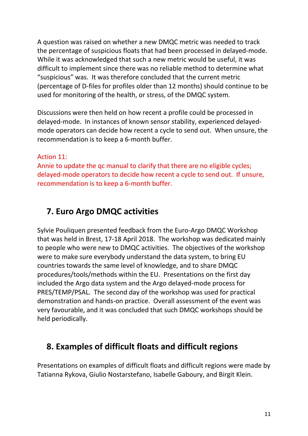A question was raised on whether a new DMQC metric was needed to track the percentage of suspicious floats that had been processed in delayed-mode. While it was acknowledged that such a new metric would be useful, it was difficult to implement since there was no reliable method to determine what "suspicious" was. It was therefore concluded that the current metric (percentage of D-files for profiles older than 12 months) should continue to be used for monitoring of the health, or stress, of the DMQC system.

Discussions were then held on how recent a profile could be processed in delayed-mode. In instances of known sensor stability, experienced delayedmode operators can decide how recent a cycle to send out. When unsure, the recommendation is to keep a 6-month buffer.

Action 11:

Annie to update the qc manual to clarify that there are no eligible cycles; delayed-mode operators to decide how recent a cycle to send out. If unsure, recommendation is to keep a 6-month buffer.

# **7. Euro Argo DMQC activities**

Sylvie Pouliquen presented feedback from the Euro-Argo DMQC Workshop that was held in Brest, 17-18 April 2018. The workshop was dedicated mainly to people who were new to DMQC activities. The objectives of the workshop were to make sure everybody understand the data system, to bring EU countries towards the same level of knowledge, and to share DMQC procedures/tools/methods within the EU. Presentations on the first day included the Argo data system and the Argo delayed-mode process for PRES/TEMP/PSAL. The second day of the workshop was used for practical demonstration and hands-on practice. Overall assessment of the event was very favourable, and it was concluded that such DMQC workshops should be held periodically.

# **8. Examples of difficult floats and difficult regions**

Presentations on examples of difficult floats and difficult regions were made by Tatianna Rykova, Giulio Nostarstefano, Isabelle Gaboury, and Birgit Klein.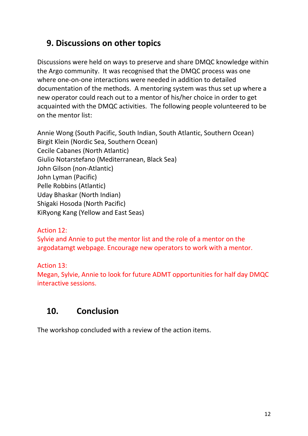# **9. Discussions on other topics**

Discussions were held on ways to preserve and share DMQC knowledge within the Argo community. It was recognised that the DMQC process was one where one-on-one interactions were needed in addition to detailed documentation of the methods. A mentoring system was thus set up where a new operator could reach out to a mentor of his/her choice in order to get acquainted with the DMQC activities. The following people volunteered to be on the mentor list:

Annie Wong (South Pacific, South Indian, South Atlantic, Southern Ocean) Birgit Klein (Nordic Sea, Southern Ocean) Cecile Cabanes (North Atlantic) Giulio Notarstefano (Mediterranean, Black Sea) John Gilson (non-Atlantic) John Lyman (Pacific) Pelle Robbins (Atlantic) Uday Bhaskar (North Indian) Shigaki Hosoda (North Pacific) KiRyong Kang (Yellow and East Seas)

Action 12:

Sylvie and Annie to put the mentor list and the role of a mentor on the argodatamgt webpage. Encourage new operators to work with a mentor.

Action 13: Megan, Sylvie, Annie to look for future ADMT opportunities for half day DMQC interactive sessions.

# **10. Conclusion**

The workshop concluded with a review of the action items.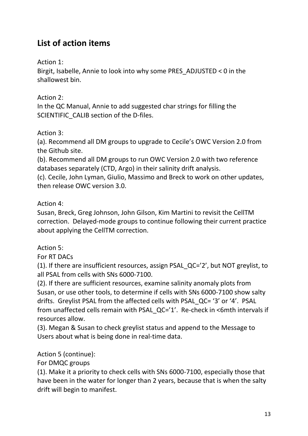# **List of action items**

Action 1:

Birgit, Isabelle, Annie to look into why some PRES\_ADJUSTED < 0 in the shallowest bin.

Action 2:

In the QC Manual, Annie to add suggested char strings for filling the SCIENTIFIC\_CALIB section of the D-files.

#### Action 3:

(a). Recommend all DM groups to upgrade to Cecile's OWC Version 2.0 from the Github site.

(b). Recommend all DM groups to run OWC Version 2.0 with two reference databases separately (CTD, Argo) in their salinity drift analysis.

(c). Cecile, John Lyman, Giulio, Massimo and Breck to work on other updates, then release OWC version 3.0.

Action 4:

Susan, Breck, Greg Johnson, John Gilson, Kim Martini to revisit the CellTM correction. Delayed-mode groups to continue following their current practice about applying the CellTM correction.

Action 5:

For RT DACs

(1). If there are insufficient resources, assign PSAL\_QC='2', but NOT greylist, to all PSAL from cells with SNs 6000-7100.

(2). If there are sufficient resources, examine salinity anomaly plots from Susan, or use other tools, to determine if cells with SNs 6000-7100 show salty drifts. Greylist PSAL from the affected cells with PSAL\_QC= '3' or '4'. PSAL from unaffected cells remain with PSAL\_QC='1'. Re-check in <6mth intervals if resources allow.

(3). Megan & Susan to check greylist status and append to the Message to Users about what is being done in real-time data.

Action 5 (continue):

For DMQC groups

(1). Make it a priority to check cells with SNs 6000-7100, especially those that have been in the water for longer than 2 years, because that is when the salty drift will begin to manifest.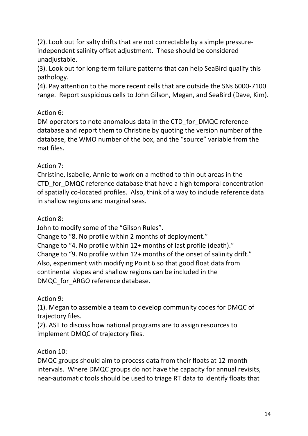(2). Look out for salty drifts that are not correctable by a simple pressureindependent salinity offset adjustment. These should be considered unadjustable.

(3). Look out for long-term failure patterns that can help SeaBird qualify this pathology.

(4). Pay attention to the more recent cells that are outside the SNs 6000-7100 range. Report suspicious cells to John Gilson, Megan, and SeaBird (Dave, Kim).

### Action 6:

DM operators to note anomalous data in the CTD\_for\_DMQC reference database and report them to Christine by quoting the version number of the database, the WMO number of the box, and the "source" variable from the mat files.

#### Action 7:

Christine, Isabelle, Annie to work on a method to thin out areas in the CTD\_for\_DMQC reference database that have a high temporal concentration of spatially co-located profiles. Also, think of a way to include reference data in shallow regions and marginal seas.

#### Action 8:

John to modify some of the "Gilson Rules".

Change to "8. No profile within 2 months of deployment."

Change to "4. No profile within 12+ months of last profile (death)." Change to "9. No profile within 12+ months of the onset of salinity drift." Also, experiment with modifying Point 6 so that good float data from continental slopes and shallow regions can be included in the DMQC for ARGO reference database.

Action 9:

(1). Megan to assemble a team to develop community codes for DMQC of trajectory files.

(2). AST to discuss how national programs are to assign resources to implement DMQC of trajectory files.

### Action 10:

DMQC groups should aim to process data from their floats at 12-month intervals. Where DMQC groups do not have the capacity for annual revisits, near-automatic tools should be used to triage RT data to identify floats that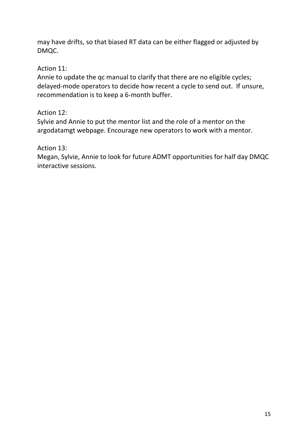may have drifts, so that biased RT data can be either flagged or adjusted by DMQC.

Action 11:

Annie to update the qc manual to clarify that there are no eligible cycles; delayed-mode operators to decide how recent a cycle to send out. If unsure, recommendation is to keep a 6-month buffer.

Action 12:

Sylvie and Annie to put the mentor list and the role of a mentor on the argodatamgt webpage. Encourage new operators to work with a mentor.

Action 13:

Megan, Sylvie, Annie to look for future ADMT opportunities for half day DMQC interactive sessions.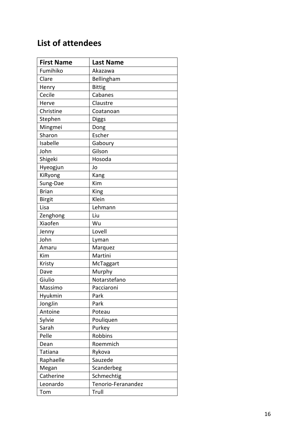# **List of attendees**

| <b>First Name</b> | <b>Last Name</b>   |
|-------------------|--------------------|
| Fumihiko          | Akazawa            |
| Clare             | Bellingham         |
| Henry             | <b>Bittig</b>      |
| Cecile            | Cabanes            |
| Herve             | Claustre           |
| Christine         | Coatanoan          |
| Stephen           | <b>Diggs</b>       |
| Mingmei           | Dong               |
| Sharon            | Escher             |
| Isabelle          | Gaboury            |
| John              | Gilson             |
| Shigeki           | Hosoda             |
| Hyeogjun          | Jo                 |
| KiRyong           | Kang               |
| Sung-Dae          | Kim                |
| <b>Brian</b>      | King               |
| <b>Birgit</b>     | Klein              |
| Lisa              | Lehmann            |
| Zenghong          | Liu                |
| Xiaofen           | Wu                 |
| Jenny             | Lovell             |
| John              | Lyman              |
| Amaru             | Marquez            |
| Kim               | Martini            |
| Kristy            | McTaggart          |
| Dave              | Murphy             |
| Giulio            | Notarstefano       |
| Massimo           | Pacciaroni         |
| Hyukmin           | Park               |
| JongJin           | Park               |
| Antoine           | Poteau             |
| Sylvie            | Pouliquen          |
| Sarah             | Purkey             |
| Pelle             | Robbins            |
| Dean              | Roemmich           |
| Tatiana           | Rykova             |
| Raphaelle         | Sauzede            |
| Megan             | Scanderbeg         |
| Catherine         | Schmechtig         |
| Leonardo          | Tenorio-Feranandez |
| Tom               | Trull              |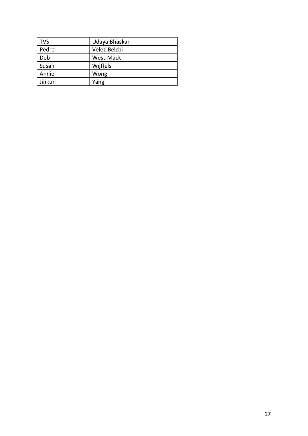| <b>TVS</b> | Udaya Bhaskar |
|------------|---------------|
| Pedro      | Velez-Belchi  |
| Deb        | West-Mack     |
| Susan      | Wijffels      |
| Annie      | Wong          |
| Jinkun     | Yang          |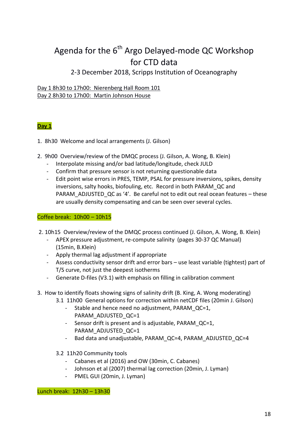# Agenda for the  $6<sup>th</sup>$  Argo Delayed-mode QC Workshop for CTD data

#### 2-3 December 2018, Scripps Institution of Oceanography

#### Day 1 8h30 to 17h00: Nierenberg Hall Room 101 Day 2 8h30 to 17h00: Martin Johnson House

#### **Day 1**

- 1. 8h30 Welcome and local arrangements (J. Gilson)
- 2. 9h00 Overview/review of the DMQC process (J. Gilson, A. Wong, B. Klein)
	- Interpolate missing and/or bad latitude/longitude, check JULD
	- Confirm that pressure sensor is not returning questionable data
	- Edit point wise errors in PRES, TEMP, PSAL for pressure inversions, spikes, density inversions, salty hooks, biofouling, etc. Record in both PARAM\_QC and PARAM\_ADJUSTED\_QC as '4'. Be careful not to edit out real ocean features – these are usually density compensating and can be seen over several cycles.

#### Coffee break: 10h00 – 10h15

- 2. 10h15 Overview/review of the DMQC process continued (J. Gilson, A. Wong, B. Klein)
	- APEX pressure adjustment, re-compute salinity (pages 30-37 QC Manual) (15min, B.Klein)
	- Apply thermal lag adjustment if appropriate
	- Assess conductivity sensor drift and error bars use least variable (tightest) part of T/S curve, not just the deepest isotherms
	- Generate D-files (V3.1) with emphasis on filling in calibration comment
- 3. How to identify floats showing signs of salinity drift (B. King, A. Wong moderating)
	- 3.1 11h00 General options for correction within netCDF files (20min J. Gilson)
		- Stable and hence need no adjustment, PARAM QC=1, PARAM\_ADJUSTED\_QC=1
		- Sensor drift is present and is adjustable, PARAM\_QC=1, PARAM\_ADJUSTED\_QC=1
		- Bad data and unadjustable, PARAM\_QC=4, PARAM\_ADJUSTED\_QC=4
	- 3.2 11h20 Community tools
		- Cabanes et al (2016) and OW (30min, C. Cabanes)
		- Johnson et al (2007) thermal lag correction (20min, J. Lyman)
		- PMEL GUI (20min, J. Lyman)

Lunch break: 12h30 – 13h30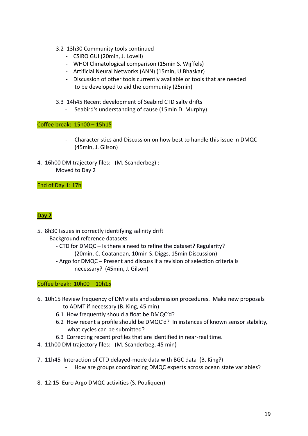- 3.2 13h30 Community tools continued
	- CSIRO GUI (20min, J. Lovell)
	- WHOI Climatological comparison (15min S. Wijffels)
	- Artificial Neural Networks (ANN) (15min, U.Bhaskar)
	- Discussion of other tools currently available or tools that are needed to be developed to aid the community (25min)

3.3 14h45 Recent development of Seabird CTD salty drifts

- Seabird's understanding of cause (15min D. Murphy)

Coffee break: 15h00 – 15h15

- Characteristics and Discussion on how best to handle this issue in DMQC (45min, J. Gilson)
- 4. 16h00 DM trajectory files: (M. Scanderbeg) : Moved to Day 2

#### End of Day 1: 17h

#### **Day 2**

- 5. 8h30 Issues in correctly identifying salinity drift Background reference datasets
	- CTD for DMQC Is there a need to refine the dataset? Regularity? (20min, C. Coatanoan, 10min S. Diggs, 15min Discussion)
	- Argo for DMQC Present and discuss if a revision of selection criteria is necessary? (45min, J. Gilson)

#### Coffee break: 10h00 – 10h15

- 6. 10h15 Review frequency of DM visits and submission procedures. Make new proposals to ADMT if necessary (B. King, 45 min)
	- 6.1 How frequently should a float be DMQC'd?
	- 6.2 How recent a profile should be DMQC'd? In instances of known sensor stability, what cycles can be submitted?
	- 6.3 Correcting recent profiles that are identified in near-real time.
- 4. 11h00 DM trajectory files: (M. Scanderbeg, 45 min)
- 7. 11h45 Interaction of CTD delayed-mode data with BGC data (B. King?)
	- How are groups coordinating DMQC experts across ocean state variables?
- 8. 12:15 Euro Argo DMQC activities (S. Pouliquen)